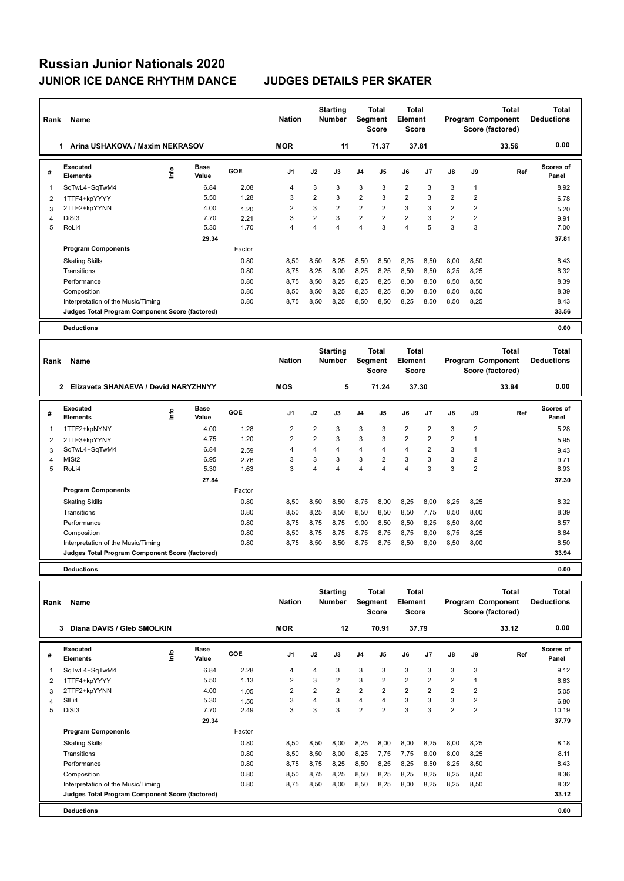| Rank | Name                                                 |    |                                        |                       | <b>Nation</b>  |                                | <b>Starting</b><br><b>Number</b> | Segment        | <b>Total</b><br><b>Score</b> | <b>Total</b><br>Element<br><b>Score</b> |                |                |                                | <b>Total</b><br>Program Component<br>Score (factored) | <b>Total</b><br><b>Deductions</b>   |
|------|------------------------------------------------------|----|----------------------------------------|-----------------------|----------------|--------------------------------|----------------------------------|----------------|------------------------------|-----------------------------------------|----------------|----------------|--------------------------------|-------------------------------------------------------|-------------------------------------|
|      | Arina USHAKOVA / Maxim NEKRASOV<br>1.                |    |                                        |                       | <b>MOR</b>     |                                | 11                               |                | 71.37                        | 37.81                                   |                |                |                                | 33.56                                                 | 0.00                                |
| #    | Executed<br><b>Elements</b>                          | ۴ô | <b>Base</b><br>Value                   | GOE                   | J <sub>1</sub> | J2                             | J3                               | J <sub>4</sub> | J <sub>5</sub>               | J6                                      | J <sub>7</sub> | J8             | J9                             | Ref                                                   | <b>Scores of</b><br>Panel           |
| 1    | SqTwL4+SqTwM4                                        |    | 6.84                                   | 2.08                  | 4              | 3                              | 3                                | 3              | 3                            | $\overline{2}$                          | 3              | 3              | 1                              |                                                       | 8.92                                |
| 2    | 1TTF4+kpYYYY                                         |    | 5.50                                   | 1.28                  | 3              | $\overline{2}$                 | 3                                | $\overline{2}$ | 3                            | $\overline{2}$                          | 3              | $\overline{2}$ | $\overline{2}$                 |                                                       | 6.78                                |
| 3    | 2TTF2+kpYYNN                                         |    | 4.00                                   | 1.20                  | $\overline{2}$ | 3                              | $\overline{2}$                   | $\overline{2}$ | $\overline{2}$               | 3                                       | 3              | $\overline{2}$ | $\overline{2}$                 |                                                       | 5.20                                |
| 4    | DiSt <sub>3</sub>                                    |    | 7.70                                   | 2.21                  | 3              | $\overline{2}$                 | 3                                | $\overline{2}$ | $\overline{2}$               | $\overline{2}$                          | 3              | $\overline{2}$ | $\overline{2}$                 |                                                       | 9.91                                |
| 5    | RoLi4                                                |    | 5.30                                   | 1.70                  | $\overline{4}$ | 4                              | $\overline{4}$                   | 4              | 3                            | $\overline{4}$                          | 5              | 3              | 3                              |                                                       | 7.00                                |
|      |                                                      |    | 29.34                                  |                       |                |                                |                                  |                |                              |                                         |                |                |                                |                                                       | 37.81                               |
|      | <b>Program Components</b>                            |    |                                        | Factor                |                |                                |                                  |                |                              |                                         |                |                |                                |                                                       |                                     |
|      | <b>Skating Skills</b>                                |    |                                        | 0.80                  | 8,50           | 8,50                           | 8,25                             | 8,50           | 8,50                         | 8,25                                    | 8,50           | 8,00           | 8,50                           |                                                       | 8.43                                |
|      | Transitions                                          |    |                                        | 0.80                  | 8.75           | 8,25                           | 8.00                             | 8,25           | 8,25                         | 8,50                                    | 8,50           | 8,25           | 8,25                           |                                                       | 8.32                                |
|      | Performance                                          |    |                                        | 0.80                  | 8.75           | 8.50                           | 8.25                             | 8,25           | 8,25                         | 8.00                                    | 8.50           | 8.50           | 8.50                           |                                                       | 8.39                                |
|      | Composition                                          |    |                                        | 0.80                  | 8,50           | 8,50                           | 8,25                             | 8,25           | 8,25                         | 8,00                                    | 8,50           | 8,50           | 8,50                           |                                                       | 8.39                                |
|      | Interpretation of the Music/Timing                   |    |                                        | 0.80                  | 8.75           | 8,50                           | 8,25                             | 8,50           | 8,50                         | 8,25                                    | 8,50           | 8,50           | 8,25                           |                                                       | 8.43                                |
|      | Judges Total Program Component Score (factored)      |    |                                        |                       |                |                                |                                  |                |                              |                                         |                |                |                                |                                                       | 33.56                               |
|      | <b>Deductions</b>                                    |    |                                        |                       |                |                                |                                  |                |                              |                                         |                |                |                                |                                                       | 0.00                                |
|      |                                                      |    |                                        |                       |                |                                |                                  |                |                              |                                         |                |                |                                |                                                       |                                     |
| Rank | Name                                                 |    |                                        |                       | <b>Nation</b>  |                                | <b>Starting</b><br><b>Number</b> | Segment        | <b>Total</b><br><b>Score</b> | <b>Total</b><br>Element<br><b>Score</b> |                |                |                                | <b>Total</b><br>Program Component<br>Score (factored) | <b>Total</b><br><b>Deductions</b>   |
|      | Elizaveta SHANAEVA / Devid NARYZHNYY<br>$\mathbf{2}$ |    |                                        |                       | <b>MOS</b>     |                                | 5                                |                | 71.24                        | 37.30                                   |                |                |                                | 33.94                                                 | 0.00                                |
| #    | <b>Executed</b><br><b>Elements</b><br>$1 - 1 - 1$    | ١m | <b>Base</b><br>Value<br>$\overline{a}$ | GOE<br>$\overline{a}$ | J <sub>1</sub> | J2<br>$\overline{\phantom{0}}$ | J3                               | J4<br>$\sim$   | J5<br>$\sim$                 | J6<br>$\sim$                            | J7<br>$\sim$   | J8<br>$\sim$   | J9<br>$\overline{\phantom{0}}$ | Ref                                                   | Scores of<br>Panel<br>$\sim$ $\sim$ |

| # | Executed<br><b>Elements</b>                     | ١m | <b>Base</b><br>Value | GOE    | J <sub>1</sub> | J2             | J3   | J <sub>4</sub> | J5   | J6                      | J7             | J8   | J9             | Ref | <b>Scores of</b><br>Panel |
|---|-------------------------------------------------|----|----------------------|--------|----------------|----------------|------|----------------|------|-------------------------|----------------|------|----------------|-----|---------------------------|
|   | 1TTF2+kpNYNY                                    |    | 4.00                 | 1.28   | $\overline{2}$ | $\overline{2}$ | 3    | 3              | 3    | $\overline{2}$          | $\overline{2}$ | 3    | $\overline{2}$ |     | 5.28                      |
| 2 | 2TTF3+kpYYNY                                    |    | 4.75                 | 1.20   | $\overline{2}$ | 2              | 3    | 3              | 3    | 2                       | $\overline{2}$ | 2    |                |     | 5.95                      |
| 3 | SqTwL4+SqTwM4                                   |    | 6.84                 | 2.59   | 4              | 4              | 4    | 4              | 4    | 4                       | $\overline{2}$ | 3    |                |     | 9.43                      |
| 4 | MiSt <sub>2</sub>                               |    | 6.95                 | 2.76   | 3              | 3              | 3    | 3              | 2    | 3                       | 3              | 3    | $\overline{2}$ |     | 9.71                      |
| 5 | RoLi4                                           |    | 5.30                 | 1.63   | 3              | 4              | 4    | 4              | 4    | $\overline{\mathbf{4}}$ | 3              | 3    | 2              |     | 6.93                      |
|   |                                                 |    | 27.84                |        |                |                |      |                |      |                         |                |      |                |     | 37.30                     |
|   | <b>Program Components</b>                       |    |                      | Factor |                |                |      |                |      |                         |                |      |                |     |                           |
|   | <b>Skating Skills</b>                           |    |                      | 0.80   | 8,50           | 8,50           | 8,50 | 8,75           | 8,00 | 8,25                    | 8,00           | 8,25 | 8,25           |     | 8.32                      |
|   | Transitions                                     |    |                      | 0.80   | 8,50           | 8,25           | 8,50 | 8,50           | 8,50 | 8,50                    | 7,75           | 8.50 | 8.00           |     | 8.39                      |
|   | Performance                                     |    |                      | 0.80   | 8,75           | 8,75           | 8,75 | 9,00           | 8,50 | 8,50                    | 8,25           | 8,50 | 8,00           |     | 8.57                      |
|   | Composition                                     |    |                      | 0.80   | 8,50           | 8,75           | 8,75 | 8,75           | 8,75 | 8,75                    | 8,00           | 8.75 | 8,25           |     | 8.64                      |
|   | Interpretation of the Music/Timing              |    |                      | 0.80   | 8,75           | 8,50           | 8,50 | 8,75           | 8,75 | 8,50                    | 8,00           | 8,50 | 8,00           |     | 8.50                      |
|   | Judges Total Program Component Score (factored) |    |                      |        |                |                |      |                |      |                         |                |      |                |     | 33.94                     |
|   | <b>Deductions</b>                               |    |                      |        |                |                |      |                |      |                         |                |      |                |     | 0.00                      |

| Rank | Name                                            |   | <b>Nation</b>        |        | <b>Starting</b><br><b>Number</b> | Segment        | <b>Total</b><br><b>Score</b> | <b>Total</b><br>Element<br><b>Score</b> |                |                |                | Total<br>Program Component<br>Score (factored) | <b>Total</b><br><b>Deductions</b> |       |                    |
|------|-------------------------------------------------|---|----------------------|--------|----------------------------------|----------------|------------------------------|-----------------------------------------|----------------|----------------|----------------|------------------------------------------------|-----------------------------------|-------|--------------------|
|      | Diana DAVIS / Gleb SMOLKIN<br>3                 |   |                      |        | <b>MOR</b>                       |                | 12                           |                                         | 70.91          |                | 37.79          |                                                |                                   | 33.12 | 0.00               |
| #    | Executed<br><b>Elements</b>                     | ۴ | <b>Base</b><br>Value | GOE    | J <sub>1</sub>                   | J2             | J3                           | J <sub>4</sub>                          | J5             | J6             | J7             | J8                                             | J9                                | Ref   | Scores of<br>Panel |
| 1    | SqTwL4+SqTwM4                                   |   | 6.84                 | 2.28   | 4                                | 4              | 3                            | 3                                       | 3              | 3              | 3              | 3                                              | 3                                 |       | 9.12               |
| 2    | 1TTF4+kpYYYY                                    |   | 5.50                 | 1.13   | $\overline{2}$                   | 3              | $\overline{2}$               | 3                                       | $\overline{2}$ | $\overline{2}$ | $\overline{2}$ | $\overline{2}$                                 | $\overline{1}$                    |       | 6.63               |
| 3    | 2TTF2+kpYYNN                                    |   | 4.00                 | 1.05   | $\overline{2}$                   | $\overline{2}$ | $\overline{2}$               | $\overline{2}$                          | $\overline{2}$ | $\overline{2}$ | $\overline{2}$ | $\overline{2}$                                 | $\overline{2}$                    |       | 5.05               |
| 4    | SILi4                                           |   | 5.30                 | 1.50   | 3                                | 4              | 3                            | $\overline{4}$                          | $\overline{4}$ | 3              | 3              | 3                                              | $\overline{2}$                    |       | 6.80               |
| 5    | DiSt3                                           |   | 7.70                 | 2.49   | 3                                | 3              | 3                            | $\overline{2}$                          | $\overline{2}$ | 3              | 3              | $\overline{2}$                                 | $\overline{2}$                    |       | 10.19              |
|      |                                                 |   | 29.34                |        |                                  |                |                              |                                         |                |                |                |                                                |                                   |       | 37.79              |
|      | <b>Program Components</b>                       |   |                      | Factor |                                  |                |                              |                                         |                |                |                |                                                |                                   |       |                    |
|      | <b>Skating Skills</b>                           |   |                      | 0.80   | 8,50                             | 8,50           | 8,00                         | 8,25                                    | 8,00           | 8,00           | 8,25           | 8,00                                           | 8,25                              |       | 8.18               |
|      | Transitions                                     |   |                      | 0.80   | 8,50                             | 8.50           | 8.00                         | 8,25                                    | 7.75           | 7.75           | 8.00           | 8.00                                           | 8,25                              |       | 8.11               |
|      | Performance                                     |   |                      | 0.80   | 8,75                             | 8.75           | 8,25                         | 8,50                                    | 8,25           | 8,25           | 8,50           | 8,25                                           | 8,50                              |       | 8.43               |
|      | Composition                                     |   |                      | 0.80   | 8,50                             | 8,75           | 8,25                         | 8,50                                    | 8,25           | 8,25           | 8,25           | 8,25                                           | 8,50                              |       | 8.36               |
|      | Interpretation of the Music/Timing              |   |                      | 0.80   | 8.75                             | 8,50           | 8,00                         | 8,50                                    | 8,25           | 8,00           | 8,25           | 8,25                                           | 8,50                              |       | 8.32               |
|      | Judges Total Program Component Score (factored) |   |                      |        |                                  |                |                              |                                         |                |                |                |                                                |                                   |       | 33.12              |
|      | <b>Deductions</b>                               |   |                      |        |                                  |                |                              |                                         |                |                |                |                                                |                                   |       | 0.00               |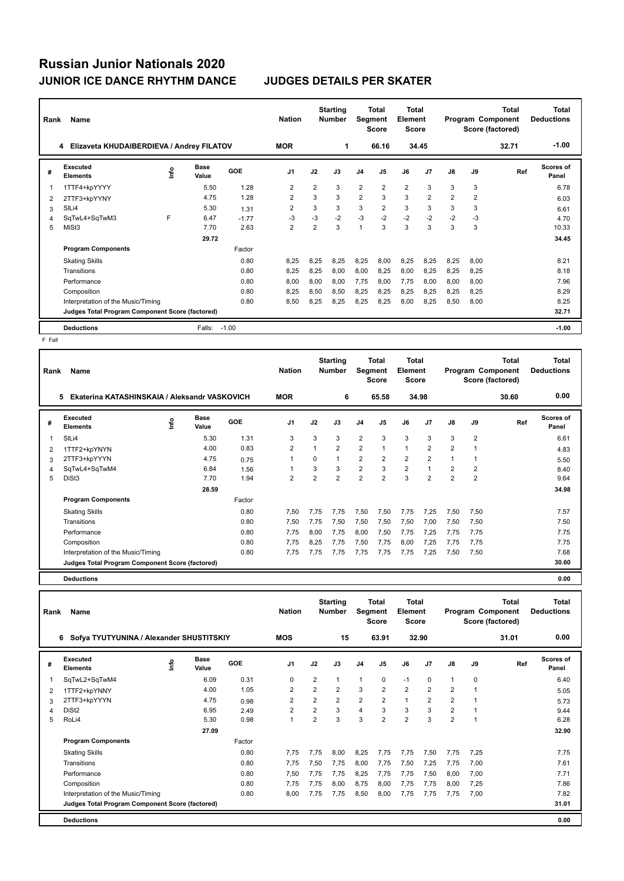| Rank           | Name                                            |    |                      |         | <b>Nation</b>  |                | <b>Starting</b><br><b>Number</b> | Segment        | Total<br><b>Score</b> | <b>Total</b><br>Element<br><b>Score</b> |                |                |                | <b>Total</b><br>Program Component<br>Score (factored) | Total<br><b>Deductions</b> |
|----------------|-------------------------------------------------|----|----------------------|---------|----------------|----------------|----------------------------------|----------------|-----------------------|-----------------------------------------|----------------|----------------|----------------|-------------------------------------------------------|----------------------------|
|                | 4 Elizaveta KHUDAIBERDIEVA / Andrey FILATOV     |    |                      |         | <b>MOR</b>     |                | 1                                |                | 66.16                 |                                         | 34.45          |                |                | 32.71                                                 | $-1.00$                    |
| #              | Executed<br><b>Elements</b>                     | ۴ů | <b>Base</b><br>Value | GOE     | J <sub>1</sub> | J2             | J3                               | J <sub>4</sub> | J <sub>5</sub>        | J6                                      | J <sub>7</sub> | $\mathsf{J}8$  | J9             | Ref                                                   | <b>Scores of</b><br>Panel  |
| 1              | 1TTF4+kpYYYY                                    |    | 5.50                 | 1.28    | $\overline{2}$ | $\overline{2}$ | 3                                | $\overline{2}$ | $\overline{2}$        | $\overline{2}$                          | 3              | 3              | 3              |                                                       | 6.78                       |
| $\overline{2}$ | 2TTF3+kpYYNY                                    |    | 4.75                 | 1.28    | $\overline{2}$ | 3              | 3                                | $\overline{2}$ | 3                     | 3                                       | 2              | $\overline{2}$ | $\overline{2}$ |                                                       | 6.03                       |
| 3              | SILi4                                           |    | 5.30                 | 1.31    | $\overline{2}$ | 3              | 3                                | 3              | $\overline{2}$        | 3                                       | 3              | 3              | 3              |                                                       | 6.61                       |
| 4              | SqTwL4+SqTwM3                                   | F  | 6.47                 | $-1.77$ | $-3$           | $-3$           | $-2$                             | $-3$           | $-2$                  | $-2$                                    | $-2$           | $-2$           | $-3$           |                                                       | 4.70                       |
| 5              | MiSt <sub>3</sub>                               |    | 7.70                 | 2.63    | $\overline{2}$ | $\overline{2}$ | 3                                | 1              | 3                     | 3                                       | 3              | 3              | 3              |                                                       | 10.33                      |
|                |                                                 |    | 29.72                |         |                |                |                                  |                |                       |                                         |                |                |                |                                                       | 34.45                      |
|                | <b>Program Components</b>                       |    |                      | Factor  |                |                |                                  |                |                       |                                         |                |                |                |                                                       |                            |
|                | <b>Skating Skills</b>                           |    |                      | 0.80    | 8,25           | 8,25           | 8.25                             | 8,25           | 8,00                  | 8,25                                    | 8,25           | 8,25           | 8,00           |                                                       | 8.21                       |
|                | Transitions                                     |    |                      | 0.80    | 8.25           | 8,25           | 8,00                             | 8,00           | 8,25                  | 8,00                                    | 8,25           | 8,25           | 8,25           |                                                       | 8.18                       |
|                | Performance                                     |    |                      | 0.80    | 8.00           | 8,00           | 8.00                             | 7,75           | 8.00                  | 7.75                                    | 8,00           | 8.00           | 8.00           |                                                       | 7.96                       |
|                | Composition                                     |    |                      | 0.80    | 8.25           | 8,50           | 8.50                             | 8,25           | 8,25                  | 8,25                                    | 8,25           | 8.25           | 8,25           |                                                       | 8.29                       |
|                | Interpretation of the Music/Timing              |    |                      | 0.80    | 8.50           | 8,25           | 8.25                             | 8,25           | 8,25                  | 8.00                                    | 8,25           | 8.50           | 8,00           |                                                       | 8.25                       |
|                | Judges Total Program Component Score (factored) |    |                      |         |                |                |                                  |                |                       |                                         |                |                |                |                                                       | 32.71                      |
|                | <b>Deductions</b>                               |    | Falls:               | $-1.00$ |                |                |                                  |                |                       |                                         |                |                |                |                                                       | $-1.00$                    |

F Fall

| Rank | Name                                               | <b>Nation</b> |                      | <b>Starting</b><br><b>Number</b> | Segment        | <b>Total</b><br><b>Score</b> | <b>Total</b><br>Element<br><b>Score</b> |                         |                |                | <b>Total</b><br>Program Component<br>Score (factored) | <b>Total</b><br><b>Deductions</b> |                |       |                           |
|------|----------------------------------------------------|---------------|----------------------|----------------------------------|----------------|------------------------------|-----------------------------------------|-------------------------|----------------|----------------|-------------------------------------------------------|-----------------------------------|----------------|-------|---------------------------|
|      | Ekaterina KATASHINSKAIA / Aleksandr VASKOVICH<br>5 |               |                      |                                  | <b>MOR</b>     |                              | 6                                       |                         | 65.58          |                | 34.98                                                 |                                   |                | 30.60 | 0.00                      |
| #    | Executed<br><b>Elements</b>                        | ۴٥            | <b>Base</b><br>Value | GOE                              | J <sub>1</sub> | J2                           | J3                                      | J <sub>4</sub>          | J <sub>5</sub> | J6             | J7                                                    | J8                                | J9             | Ref   | <b>Scores of</b><br>Panel |
| 1    | SILi4                                              |               | 5.30                 | 1.31                             | 3              | 3                            | 3                                       | $\overline{2}$          | 3              | 3              | 3                                                     | 3                                 | $\overline{2}$ |       | 6.61                      |
| 2    | 1TTF2+kpYNYN                                       |               | 4.00                 | 0.83                             | $\overline{2}$ |                              | $\overline{2}$                          | $\overline{2}$          | $\overline{1}$ | $\mathbf{1}$   | $\overline{2}$                                        | $\overline{2}$                    | $\overline{1}$ |       | 4.83                      |
| 3    | 2TTF3+kpYYYN                                       |               | 4.75                 | 0.75                             | 1              | 0                            |                                         | $\overline{\mathbf{c}}$ | 2              | 2              | 2                                                     | 1                                 |                |       | 5.50                      |
| 4    | SqTwL4+SqTwM4                                      |               | 6.84                 | 1.56                             | $\overline{1}$ | 3                            | 3                                       | $\overline{2}$          | $\mathbf{3}$   | $\overline{2}$ | $\mathbf{1}$                                          | $\overline{2}$                    | $\overline{2}$ |       | 8.40                      |
| 5    | DiSt <sub>3</sub>                                  |               | 7.70                 | 1.94                             | $\overline{2}$ | $\overline{2}$               | $\overline{2}$                          | $\overline{2}$          | $\overline{2}$ | 3              | $\overline{2}$                                        | $\overline{2}$                    | $\overline{2}$ |       | 9.64                      |
|      |                                                    |               | 28.59                |                                  |                |                              |                                         |                         |                |                |                                                       |                                   |                |       | 34.98                     |
|      | <b>Program Components</b>                          |               |                      | Factor                           |                |                              |                                         |                         |                |                |                                                       |                                   |                |       |                           |
|      | <b>Skating Skills</b>                              |               |                      | 0.80                             | 7,50           | 7,75                         | 7.75                                    | 7,50                    | 7,50           | 7.75           | 7,25                                                  | 7.50                              | 7,50           |       | 7.57                      |
|      | Transitions                                        |               |                      | 0.80                             | 7,50           | 7,75                         | 7,50                                    | 7,50                    | 7,50           | 7,50           | 7,00                                                  | 7.50                              | 7,50           |       | 7.50                      |
|      | Performance                                        |               |                      | 0.80                             | 7.75           | 8,00                         | 7.75                                    | 8,00                    | 7,50           | 7.75           | 7,25                                                  | 7.75                              | 7.75           |       | 7.75                      |
|      | Composition                                        |               |                      | 0.80                             | 7.75           | 8.25                         | 7.75                                    | 7,50                    | 7,75           | 8,00           | 7,25                                                  | 7.75                              | 7,75           |       | 7.75                      |
|      | Interpretation of the Music/Timing                 |               |                      | 0.80                             | 7,75           | 7,75                         | 7.75                                    | 7,75                    | 7,75           | 7,75           | 7,25                                                  | 7,50                              | 7,50           |       | 7.68                      |
|      | Judges Total Program Component Score (factored)    |               |                      |                                  |                |                              |                                         |                         |                |                |                                                       |                                   |                |       | 30.60                     |
|      | <b>Deductions</b>                                  |               |                      |                                  |                |                              |                                         |                         |                |                |                                                       |                                   |                |       | 0.00                      |

| Rank | Name                                            |      |                      |        | <b>Nation</b>           |                | <b>Starting</b><br><b>Number</b> | Segment        | <b>Total</b><br><b>Score</b> | <b>Total</b><br>Element<br><b>Score</b> |                |                |                | <b>Total</b><br>Program Component<br>Score (factored) | <b>Total</b><br><b>Deductions</b> |
|------|-------------------------------------------------|------|----------------------|--------|-------------------------|----------------|----------------------------------|----------------|------------------------------|-----------------------------------------|----------------|----------------|----------------|-------------------------------------------------------|-----------------------------------|
|      | Sofya TYUTYUNINA / Alexander SHUSTITSKIY<br>6.  |      |                      |        | <b>MOS</b>              |                | 15                               |                | 63.91                        |                                         | 32.90          |                |                | 31.01                                                 | 0.00                              |
| #    | Executed<br><b>Elements</b>                     | lnfo | <b>Base</b><br>Value | GOE    | J <sub>1</sub>          | J2             | J3                               | J <sub>4</sub> | J <sub>5</sub>               | J6                                      | J <sub>7</sub> | J8             | J9             | Ref                                                   | Scores of<br>Panel                |
| 1    | SqTwL2+SqTwM4                                   |      | 6.09                 | 0.31   | 0                       | $\overline{2}$ | 1                                | $\mathbf{1}$   | 0                            | $-1$                                    | 0              | $\mathbf{1}$   | $\mathbf 0$    |                                                       | 6.40                              |
| 2    | 1TTF2+kpYNNY                                    |      | 4.00                 | 1.05   | 2                       | $\overline{2}$ | $\overline{2}$                   | 3              | $\overline{2}$               | $\overline{2}$                          | $\overline{2}$ | $\overline{2}$ | $\overline{1}$ |                                                       | 5.05                              |
| 3    | 2TTF3+kpYYYN                                    |      | 4.75                 | 0.98   | 2                       | $\overline{2}$ | $\overline{2}$                   | $\overline{2}$ | $\overline{2}$               | 1                                       | $\overline{2}$ | $\overline{2}$ | 1              |                                                       | 5.73                              |
| 4    | DiSt <sub>2</sub>                               |      | 6.95                 | 2.49   | $\overline{\mathbf{c}}$ | 2              | 3                                | $\overline{4}$ | 3                            | 3                                       | 3              | $\overline{2}$ | $\mathbf{1}$   |                                                       | 9.44                              |
| 5    | RoLi4                                           |      | 5.30                 | 0.98   | 1                       | $\overline{2}$ | 3                                | 3              | $\overline{2}$               | $\overline{2}$                          | 3              | $\overline{2}$ | $\overline{1}$ |                                                       | 6.28                              |
|      |                                                 |      | 27.09                |        |                         |                |                                  |                |                              |                                         |                |                |                |                                                       | 32.90                             |
|      | <b>Program Components</b>                       |      |                      | Factor |                         |                |                                  |                |                              |                                         |                |                |                |                                                       |                                   |
|      | <b>Skating Skills</b>                           |      |                      | 0.80   | 7.75                    | 7.75           | 8.00                             | 8,25           | 7.75                         | 7.75                                    | 7,50           | 7.75           | 7.25           |                                                       | 7.75                              |
|      | Transitions                                     |      |                      | 0.80   | 7.75                    | 7,50           | 7.75                             | 8,00           | 7,75                         | 7.50                                    | 7,25           | 7.75           | 7.00           |                                                       | 7.61                              |
|      | Performance                                     |      |                      | 0.80   | 7,50                    | 7,75           | 7.75                             | 8,25           | 7,75                         | 7,75                                    | 7,50           | 8,00           | 7.00           |                                                       | 7.71                              |
|      | Composition                                     |      |                      | 0.80   | 7.75                    | 7,75           | 8,00                             | 8,75           | 8,00                         | 7,75                                    | 7,75           | 8.00           | 7.25           |                                                       | 7.86                              |
|      | Interpretation of the Music/Timing              |      |                      | 0.80   | 8.00                    | 7,75           | 7.75                             | 8,50           | 8.00                         | 7.75                                    | 7.75           | 7.75           | 7.00           |                                                       | 7.82                              |
|      | Judges Total Program Component Score (factored) |      |                      |        |                         |                |                                  |                |                              |                                         |                |                |                |                                                       | 31.01                             |
|      | <b>Deductions</b>                               |      |                      |        |                         |                |                                  |                |                              |                                         |                |                |                |                                                       | 0.00                              |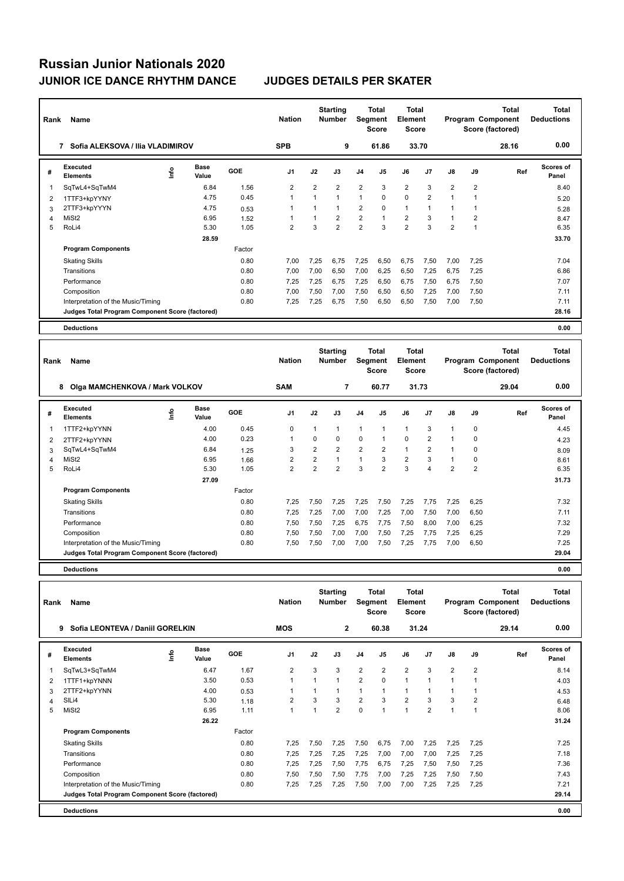| Rank | Name                                            |      |                      |        | <b>Nation</b>  |                | <b>Starting</b><br><b>Number</b> |                | <b>Total</b><br>Segment<br><b>Score</b> | <b>Total</b><br>Element<br><b>Score</b> |                |                |                | <b>Total</b><br>Program Component<br>Score (factored) | <b>Total</b><br><b>Deductions</b> |
|------|-------------------------------------------------|------|----------------------|--------|----------------|----------------|----------------------------------|----------------|-----------------------------------------|-----------------------------------------|----------------|----------------|----------------|-------------------------------------------------------|-----------------------------------|
|      | 7 Sofia ALEKSOVA / Ilia VLADIMIROV              |      |                      |        | <b>SPB</b>     |                | 9                                |                | 61.86                                   | 33.70                                   |                |                |                | 28.16                                                 | 0.00                              |
| #    | Executed<br><b>Elements</b>                     | ١nf٥ | <b>Base</b><br>Value | GOE    | J <sub>1</sub> | J2             | J3                               | J <sub>4</sub> | J <sub>5</sub>                          | J6                                      | J7             | J8             | J9             | Ref                                                   | <b>Scores of</b><br>Panel         |
| 1    | SqTwL4+SqTwM4                                   |      | 6.84                 | 1.56   | $\overline{2}$ | $\overline{2}$ | $\overline{2}$                   | $\overline{2}$ | 3                                       | $\overline{2}$                          | 3              | $\overline{2}$ | $\overline{2}$ |                                                       | 8.40                              |
| 2    | 1TTF3+kpYYNY                                    |      | 4.75                 | 0.45   | $\overline{1}$ | $\mathbf{1}$   | $\mathbf{1}$                     | $\mathbf{1}$   | $\Omega$                                | 0                                       | $\overline{2}$ | 1              | 1              |                                                       | 5.20                              |
| 3    | 2TTF3+kpYYYN                                    |      | 4.75                 | 0.53   | 1              | $\mathbf{1}$   | 1                                | 2              | $\Omega$                                | $\mathbf{1}$                            | $\mathbf{1}$   | 1              | $\mathbf{1}$   |                                                       | 5.28                              |
| 4    | MiSt <sub>2</sub>                               |      | 6.95                 | 1.52   | 1              | 1              | $\overline{2}$                   | $\overline{2}$ | $\mathbf{1}$                            | $\overline{2}$                          | 3              | 1              | $\overline{2}$ |                                                       | 8.47                              |
| 5    | RoLi4                                           |      | 5.30                 | 1.05   | $\overline{2}$ | 3              | $\overline{2}$                   | $\overline{2}$ | 3                                       | $\overline{2}$                          | 3              | $\overline{2}$ | $\mathbf{1}$   |                                                       | 6.35                              |
|      |                                                 |      | 28.59                |        |                |                |                                  |                |                                         |                                         |                |                |                |                                                       | 33.70                             |
|      | <b>Program Components</b>                       |      |                      | Factor |                |                |                                  |                |                                         |                                         |                |                |                |                                                       |                                   |
|      | <b>Skating Skills</b>                           |      |                      | 0.80   | 7.00           | 7,25           | 6,75                             | 7,25           | 6,50                                    | 6,75                                    | 7,50           | 7,00           | 7,25           |                                                       | 7.04                              |
|      | Transitions                                     |      |                      | 0.80   | 7.00           | 7,00           | 6,50                             | 7,00           | 6,25                                    | 6,50                                    | 7,25           | 6,75           | 7,25           |                                                       | 6.86                              |
|      | Performance                                     |      |                      | 0.80   | 7,25           | 7,25           | 6.75                             | 7,25           | 6,50                                    | 6,75                                    | 7,50           | 6.75           | 7,50           |                                                       | 7.07                              |
|      | Composition                                     |      |                      | 0.80   | 7,00           | 7,50           | 7,00                             | 7,50           | 6,50                                    | 6,50                                    | 7,25           | 7,00           | 7,50           |                                                       | 7.11                              |
|      | Interpretation of the Music/Timing              |      |                      | 0.80   | 7.25           | 7,25           | 6,75                             | 7,50           | 6,50                                    | 6,50                                    | 7,50           | 7,00           | 7,50           |                                                       | 7.11                              |
|      | Judges Total Program Component Score (factored) |      |                      |        |                |                |                                  |                |                                         |                                         |                |                |                |                                                       | 28.16                             |
|      | <b>Deductions</b>                               |      |                      |        |                |                |                                  |                |                                         |                                         |                |                |                |                                                       | 0.00                              |
| Rank | Name                                            |      |                      |        | <b>Nation</b>  |                | <b>Starting</b><br><b>Number</b> |                | <b>Total</b><br>Segment<br><b>Score</b> | <b>Total</b><br>Element<br><b>Score</b> |                |                |                | <b>Total</b><br>Program Component<br>Score (factored) | <b>Total</b><br><b>Deductions</b> |
|      | 8 Olga MAMCHENKOVA / Mark VOLKOV                |      |                      |        | <b>SAM</b>     |                | 7                                |                | 60.77                                   | 31.73                                   |                |                |                | 29.04                                                 | 0.00                              |
| #    | <b>Executed</b><br><b>Elements</b>              | lnfo | Base<br>Value        | GOE    | J <sub>1</sub> | J2             | J3                               | J <sub>4</sub> | J5                                      | J6                                      | J7             | J8             | J9             | Ref                                                   | <b>Scores of</b><br>Panel         |
| 1    | 1TTF2+kpYYNN                                    |      | 4.00                 | 0.45   | $\mathbf 0$    | 1              | 1                                | $\mathbf{1}$   | $\mathbf{1}$                            | $\mathbf{1}$                            | 3              | $\mathbf{1}$   | 0              |                                                       | 4.45                              |
| 2    | 2TTF2+kpYYNN                                    |      | 4.00                 | 0.23   | $\mathbf{1}$   | $\Omega$       | $\Omega$                         | 0              | $\mathbf{1}$                            | $\Omega$                                | $\overline{2}$ |                | $\Omega$       |                                                       | 4.23                              |
| s.   | SaTwl 4+SaTwM4                                  |      | 6.84                 | 1 25   | 3              | 2              | 2                                | 2              | $\mathcal{P}$                           | 1                                       | 2              | 1              | $\Omega$       |                                                       | 8.09                              |

| z  | 211F2+KDYYNN                                    | 4.UU  | U.ZJ   |      | v    | v              | υ    |                | J.             |      |      | v              | 4.23  |
|----|-------------------------------------------------|-------|--------|------|------|----------------|------|----------------|----------------|------|------|----------------|-------|
| 3  | SqTwL4+SqTwM4                                   | 6.84  | 1.25   | 3    | 2    | $\overline{2}$ | 2    | $\overline{2}$ |                | 2    |      | 0              | 8.09  |
| 4  | MiSt <sub>2</sub>                               | 6.95  | 1.66   | 2    | 2    |                |      | 3              | $\overline{2}$ | 3    |      | 0              | 8.61  |
| 5. | RoLi4                                           | 5.30  | 1.05   | 2    | 2    | $\overline{2}$ | 3    | $\overline{2}$ | 3              | 4    | 2    | $\overline{2}$ | 6.35  |
|    |                                                 | 27.09 |        |      |      |                |      |                |                |      |      |                | 31.73 |
|    | <b>Program Components</b>                       |       | Factor |      |      |                |      |                |                |      |      |                |       |
|    | <b>Skating Skills</b>                           |       | 0.80   | 7.25 | 7.50 | 7.25           | 7,25 | 7,50           | 7,25           | 7.75 | 7,25 | 6,25           | 7.32  |
|    | Transitions                                     |       | 0.80   | 7,25 | 7.25 | 7,00           | 7,00 | 7,25           | 7,00           | 7,50 | 7,00 | 6,50           | 7.11  |
|    | Performance                                     |       | 0.80   | 7,50 | 7.50 | 7.25           | 6,75 | 7,75           | 7,50           | 8,00 | 7.00 | 6,25           | 7.32  |
|    | Composition                                     |       | 0.80   | 7,50 | 7,50 | 7.00           | 7,00 | 7,50           | 7,25           | 7,75 | 7,25 | 6,25           | 7.29  |
|    | Interpretation of the Music/Timing              |       | 0.80   | 7,50 | 7,50 | 7.00           | 7,00 | 7,50           | 7,25           | 7,75 | 7,00 | 6,50           | 7.25  |
|    | Judges Total Program Component Score (factored) |       |        |      |      |                |      |                |                |      |      |                | 29.04 |

**Deductions 0.00**

| Rank | Name                                            |   | <b>Nation</b>        |        | <b>Starting</b><br><b>Number</b> | <b>Segment</b> | Total<br><b>Score</b> | <b>Total</b><br>Element<br><b>Score</b> |                |                |                | Total<br>Program Component<br>Score (factored) | <b>Total</b><br><b>Deductions</b> |       |                    |
|------|-------------------------------------------------|---|----------------------|--------|----------------------------------|----------------|-----------------------|-----------------------------------------|----------------|----------------|----------------|------------------------------------------------|-----------------------------------|-------|--------------------|
|      | Sofia LEONTEVA / Daniil GORELKIN<br>9           |   |                      |        | <b>MOS</b>                       |                | $\overline{2}$        |                                         | 60.38          |                | 31.24          |                                                |                                   | 29.14 | 0.00               |
| #    | Executed<br><b>Elements</b>                     | e | <b>Base</b><br>Value | GOE    | J <sub>1</sub>                   | J2             | J3                    | J <sub>4</sub>                          | J <sub>5</sub> | J6             | J7             | J8                                             | J9                                | Ref   | Scores of<br>Panel |
|      | SqTwL3+SqTwM4                                   |   | 6.47                 | 1.67   | $\overline{2}$                   | 3              | 3                     | $\overline{2}$                          | $\overline{2}$ | $\overline{2}$ | 3              | $\overline{2}$                                 | $\overline{2}$                    |       | 8.14               |
| 2    | 1TTF1+kpYNNN                                    |   | 3.50                 | 0.53   | -1                               |                | $\mathbf{1}$          | $\overline{2}$                          | $\mathbf 0$    | $\mathbf{1}$   | $\mathbf 1$    |                                                | 1                                 |       | 4.03               |
| 3    | 2TTF2+kpYYNN                                    |   | 4.00                 | 0.53   |                                  |                | $\mathbf{1}$          | $\mathbf{1}$                            | 1              | $\mathbf{1}$   | 1              |                                                |                                   |       | 4.53               |
| 4    | SILi4                                           |   | 5.30                 | 1.18   | $\overline{2}$                   | 3              | 3                     | $\overline{2}$                          | 3              | $\overline{2}$ | 3              | 3                                              | $\overline{2}$                    |       | 6.48               |
| 5    | MiSt <sub>2</sub>                               |   | 6.95                 | 1.11   | $\mathbf{1}$                     | 1              | $\overline{2}$        | 0                                       | 1              | $\mathbf{1}$   | $\overline{2}$ |                                                | $\mathbf{1}$                      |       | 8.06               |
|      |                                                 |   | 26.22                |        |                                  |                |                       |                                         |                |                |                |                                                |                                   |       | 31.24              |
|      | <b>Program Components</b>                       |   |                      | Factor |                                  |                |                       |                                         |                |                |                |                                                |                                   |       |                    |
|      | <b>Skating Skills</b>                           |   |                      | 0.80   | 7.25                             | 7,50           | 7.25                  | 7,50                                    | 6.75           | 7,00           | 7,25           | 7.25                                           | 7.25                              |       | 7.25               |
|      | Transitions                                     |   |                      | 0.80   | 7,25                             | 7,25           | 7.25                  | 7,25                                    | 7,00           | 7,00           | 7,00           | 7,25                                           | 7,25                              |       | 7.18               |
|      | Performance                                     |   |                      | 0.80   | 7.25                             | 7,25           | 7,50                  | 7,75                                    | 6,75           | 7,25           | 7,50           | 7,50                                           | 7,25                              |       | 7.36               |
|      | Composition                                     |   |                      | 0.80   | 7,50                             | 7,50           | 7,50                  | 7,75                                    | 7,00           | 7,25           | 7,25           | 7,50                                           | 7,50                              |       | 7.43               |
|      | Interpretation of the Music/Timing              |   |                      | 0.80   | 7,25                             | 7,25           | 7,25                  | 7,50                                    | 7,00           | 7,00           | 7,25           | 7,25                                           | 7,25                              |       | 7.21               |
|      | Judges Total Program Component Score (factored) |   |                      |        |                                  |                |                       |                                         |                |                |                |                                                |                                   |       | 29.14              |
|      | <b>Deductions</b>                               |   |                      |        |                                  |                |                       |                                         |                |                |                |                                                |                                   |       | 0.00               |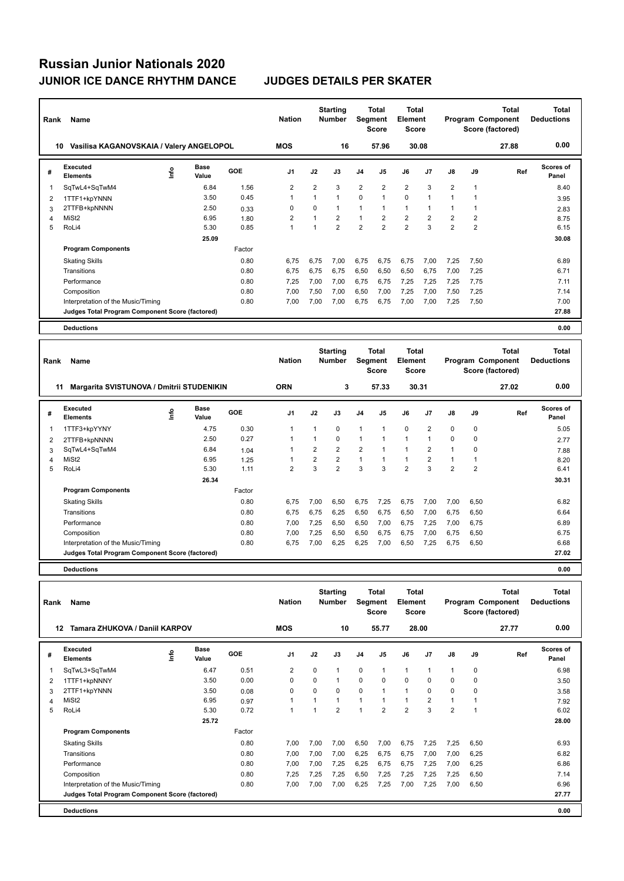| Rank                    | Name                                            |    | <b>Nation</b>        |        | <b>Starting</b><br>Number | <b>Segment</b> | <b>Total</b><br><b>Score</b> | <b>Total</b><br>Element<br><b>Score</b> |                              |                                         | Program Component<br>Score (factored) | <b>Total</b>   | <b>Total</b><br><b>Deductions</b>     |              |                                   |
|-------------------------|-------------------------------------------------|----|----------------------|--------|---------------------------|----------------|------------------------------|-----------------------------------------|------------------------------|-----------------------------------------|---------------------------------------|----------------|---------------------------------------|--------------|-----------------------------------|
|                         | 10 Vasilisa KAGANOVSKAIA / Valery ANGELOPOL     |    |                      |        | <b>MOS</b>                |                | 16                           |                                         | 57.96                        | 30.08                                   |                                       |                |                                       | 27.88        | 0.00                              |
| #                       | <b>Executed</b><br><b>Elements</b>              | ۴ů | Base<br>Value        | GOE    | J <sub>1</sub>            | J2             | J3                           | J4                                      | J5                           | J6                                      | J <sub>7</sub>                        | J8             | J9                                    | Ref          | Scores of<br>Panel                |
| 1                       | SqTwL4+SqTwM4                                   |    | 6.84                 | 1.56   | $\overline{2}$            | $\overline{2}$ | 3                            | $\overline{2}$                          | 2                            | $\overline{2}$                          | 3                                     | $\overline{2}$ | 1                                     |              | 8.40                              |
| 2                       | 1TTF1+kpYNNN                                    |    | 3.50                 | 0.45   | $\overline{1}$            | 1              | $\mathbf{1}$                 | 0                                       | 1                            | $\mathbf{0}$                            | $\overline{1}$                        | 1              | 1                                     |              | 3.95                              |
| 3                       | 2TTFB+kpNNNN                                    |    | 2.50                 | 0.33   | $\Omega$                  | 0              | $\mathbf{1}$                 | 1                                       | 1                            | 1                                       | $\overline{1}$                        | 1              | 1                                     |              | 2.83                              |
| $\overline{\mathbf{4}}$ | MiSt <sub>2</sub>                               |    | 6.95                 | 1.80   | $\overline{2}$            | 1              | $\overline{2}$               | 1                                       | 2                            | $\overline{2}$                          | $\overline{2}$                        | $\overline{2}$ | $\overline{2}$                        |              | 8.75                              |
| 5                       | RoLi4                                           |    | 5.30                 | 0.85   | $\mathbf{1}$              | 1              | $\overline{2}$               | $\overline{2}$                          | $\overline{2}$               | $\overline{2}$                          | 3                                     | $\overline{2}$ | $\overline{2}$                        |              | 6.15                              |
|                         |                                                 |    | 25.09                |        |                           |                |                              |                                         |                              |                                         |                                       |                |                                       |              | 30.08                             |
|                         | <b>Program Components</b>                       |    |                      | Factor |                           |                |                              |                                         |                              |                                         |                                       |                |                                       |              |                                   |
|                         | <b>Skating Skills</b>                           |    |                      | 0.80   | 6.75                      | 6.75           | 7.00                         | 6,75                                    | 6.75                         | 6.75                                    | 7.00                                  | 7,25           | 7,50                                  |              | 6.89                              |
|                         | Transitions                                     |    |                      | 0.80   | 6,75                      | 6,75           | 6,75                         | 6,50                                    | 6,50                         | 6,50                                    | 6,75                                  | 7,00           | 7,25                                  |              | 6.71                              |
|                         | Performance                                     |    |                      | 0.80   | 7.25                      | 7,00           | 7,00                         | 6,75                                    | 6,75                         | 7,25                                    | 7,25                                  | 7,25           | 7,75                                  |              | 7.11                              |
|                         | Composition                                     |    |                      | 0.80   | 7,00                      | 7,50           | 7,00                         | 6,50                                    | 7,00                         | 7,25                                    | 7,00                                  | 7,50           | 7,25                                  |              | 7.14                              |
|                         | Interpretation of the Music/Timing              |    |                      | 0.80   | 7.00                      | 7,00           | 7.00                         | 6,75                                    | 6,75                         | 7,00                                    | 7,00                                  | 7.25           | 7,50                                  |              | 7.00                              |
|                         | Judges Total Program Component Score (factored) |    |                      |        |                           |                |                              |                                         |                              |                                         |                                       |                |                                       |              | 27.88                             |
|                         |                                                 |    |                      |        |                           |                |                              |                                         |                              |                                         |                                       |                |                                       |              |                                   |
|                         | <b>Deductions</b>                               |    |                      |        |                           |                |                              |                                         |                              |                                         |                                       |                |                                       |              | 0.00                              |
|                         |                                                 |    |                      |        |                           |                |                              |                                         |                              |                                         |                                       |                |                                       |              |                                   |
| Rank                    | Name                                            |    |                      |        | <b>Nation</b>             |                | <b>Starting</b><br>Number    | Segment                                 | <b>Total</b><br><b>Score</b> | <b>Total</b><br>Element<br><b>Score</b> |                                       |                | Program Component<br>Score (factored) | <b>Total</b> | <b>Total</b><br><b>Deductions</b> |
| 11                      | Margarita SVISTUNOVA / Dmitrii STUDENIKIN       |    |                      |        | <b>ORN</b>                |                | 3                            |                                         | 57.33                        | 30.31                                   |                                       |                |                                       | 27.02        | 0.00                              |
| #                       | <b>Executed</b><br><b>Elements</b>              | ١m | <b>Base</b><br>Value | GOE    | J <sub>1</sub>            | J2             | J3                           | J4                                      | J5                           | J6                                      | J <sub>7</sub>                        | J8             | J9                                    | Ref          | <b>Scores of</b><br>Panel         |
| 1                       | 1TTF3+kpYYNY                                    |    | 4.75                 | 0.30   | $\overline{1}$            | 1              | $\Omega$                     | 1                                       | 1                            | $\mathbf 0$                             | $\overline{2}$                        | 0              | 0                                     |              | 5.05                              |
| 2                       | 2TTFB+kpNNNN                                    |    | 2.50                 | 0.27   | $\overline{1}$            | 1              | $\mathbf 0$                  | 1                                       | 1                            | $\mathbf{1}$                            | $\overline{1}$                        | 0              | 0                                     |              | 2.77                              |
| 3                       | SqTwL4+SqTwM4                                   |    | 6.84                 | 1.04   | $\overline{1}$            | $\overline{2}$ | $\overline{2}$               | $\overline{\mathbf{c}}$                 | 1                            | 1                                       | $\overline{2}$                        | 1              | 0                                     |              | 7.88                              |
| 4                       | MiSt <sub>2</sub>                               |    | 6.95                 | 1.25   | $\mathbf{1}$              | $\overline{2}$ | $\overline{2}$               | $\mathbf{1}$                            | 1                            | $\mathbf{1}$                            | $\overline{2}$                        | $\mathbf{1}$   | $\mathbf{1}$                          |              | 8.20                              |
| 5                       | RoLi4                                           |    | 5.30                 | 1.11   | $\overline{2}$            | 3              | $\overline{2}$               | 3                                       | 3                            | $\overline{2}$                          | 3                                     | $\overline{2}$ | $\overline{2}$                        |              | 6.41                              |
|                         |                                                 |    | 26.34                |        |                           |                |                              |                                         |                              |                                         |                                       |                |                                       |              | 30.31                             |
|                         | <b>Program Components</b>                       |    |                      | Factor |                           |                |                              |                                         |                              |                                         |                                       |                |                                       |              |                                   |
|                         | <b>Skating Skills</b>                           |    |                      | 0.80   | 6.75                      | 7,00           | 6,50                         | 6,75                                    | 7,25                         | 6,75                                    | 7,00                                  | 7,00           | 6,50                                  |              | 6.82                              |
|                         | Transitions                                     |    |                      | 0.80   | 6.75                      | 6,75           | 6,25                         | 6,50                                    | 6,75                         | 6,50                                    | 7,00                                  | 6,75           | 6,50                                  |              | 6.64                              |
|                         | Performance                                     |    |                      | 0.80   | 7,00                      | 7,25           | 6,50                         | 6,50                                    | 7,00                         | 6,75                                    | 7,25                                  | 7,00           | 6,75                                  |              | 6.89                              |

**Judges Total Program Component Score (factored) 27.02**

| Rank | Name                                            |      | <b>Nation</b>        |        | <b>Starting</b><br><b>Number</b> | Segment  | Total<br><b>Score</b> | <b>Total</b><br>Element<br>Score |                |                |                | <b>Total</b><br>Program Component<br>Score (factored) | <b>Total</b><br><b>Deductions</b> |       |                           |
|------|-------------------------------------------------|------|----------------------|--------|----------------------------------|----------|-----------------------|----------------------------------|----------------|----------------|----------------|-------------------------------------------------------|-----------------------------------|-------|---------------------------|
|      | Tamara ZHUKOVA / Daniil KARPOV<br>12            |      |                      |        | <b>MOS</b>                       |          | 10                    |                                  | 55.77          | 28.00          |                |                                                       |                                   | 27.77 | 0.00                      |
| #    | Executed<br><b>Elements</b>                     | lnfo | <b>Base</b><br>Value | GOE    | J <sub>1</sub>                   | J2       | J3                    | J <sub>4</sub>                   | J <sub>5</sub> | J6             | J <sub>7</sub> | $\mathsf{J}8$                                         | J9                                | Ref   | <b>Scores of</b><br>Panel |
|      | SqTwL3+SqTwM4                                   |      | 6.47                 | 0.51   | $\overline{2}$                   | $\Omega$ | $\mathbf{1}$          | $\mathbf 0$                      | $\mathbf{1}$   | 1              | $\overline{1}$ |                                                       | $\mathbf 0$                       |       | 6.98                      |
| 2    | 1TTF1+kpNNNY                                    |      | 3.50                 | 0.00   | 0                                | $\Omega$ | 1                     | $\mathbf 0$                      | $\Omega$       | 0              | $\Omega$       | $\Omega$                                              | $\mathbf 0$                       |       | 3.50                      |
| 3    | 2TTF1+kpYNNN                                    |      | 3.50                 | 0.08   | 0                                | $\Omega$ | 0                     | $\mathbf 0$                      | $\mathbf{1}$   | 1              | $\Omega$       | $\Omega$                                              | $\Omega$                          |       | 3.58                      |
| 4    | MiSt <sub>2</sub>                               |      | 6.95                 | 0.97   | 1                                |          | $\mathbf{1}$          | $\overline{1}$                   | $\mathbf{1}$   | 1              | $\overline{2}$ |                                                       | 1                                 |       | 7.92                      |
| 5    | RoLi4                                           |      | 5.30                 | 0.72   | $\overline{1}$                   |          | $\overline{2}$        | 4                                | $\overline{2}$ | $\overline{2}$ | 3              | $\overline{2}$                                        | 1                                 |       | 6.02                      |
|      |                                                 |      | 25.72                |        |                                  |          |                       |                                  |                |                |                |                                                       |                                   |       | 28.00                     |
|      | <b>Program Components</b>                       |      |                      | Factor |                                  |          |                       |                                  |                |                |                |                                                       |                                   |       |                           |
|      | <b>Skating Skills</b>                           |      |                      | 0.80   | 7.00                             | 7,00     | 7.00                  | 6,50                             | 7,00           | 6,75           | 7,25           | 7,25                                                  | 6,50                              |       | 6.93                      |
|      | Transitions                                     |      |                      | 0.80   | 7.00                             | 7,00     | 7.00                  | 6,25                             | 6,75           | 6,75           | 7,00           | 7.00                                                  | 6,25                              |       | 6.82                      |
|      | Performance                                     |      |                      | 0.80   | 7,00                             | 7,00     | 7,25                  | 6,25                             | 6,75           | 6,75           | 7,25           | 7,00                                                  | 6,25                              |       | 6.86                      |
|      | Composition                                     |      |                      | 0.80   | 7.25                             | 7,25     | 7.25                  | 6,50                             | 7.25           | 7.25           | 7,25           | 7.25                                                  | 6.50                              |       | 7.14                      |
|      | Interpretation of the Music/Timing              |      |                      | 0.80   | 7,00                             | 7,00     | 7,00                  | 6,25                             | 7,25           | 7,00           | 7,25           | 7,00                                                  | 6,50                              |       | 6.96                      |
|      | Judges Total Program Component Score (factored) |      |                      |        |                                  |          |                       |                                  |                |                |                |                                                       |                                   |       | 27.77                     |
|      | <b>Deductions</b>                               |      |                      |        |                                  |          |                       |                                  |                |                |                |                                                       |                                   |       | 0.00                      |

Composition 0.80 7,00 7,25 6,50 6,50 6,75 6,75 7,00 6,75 6,50 6.75 Interpretation of the Music/Timing 0.80 6,75 7,00 6,25 6,25 7,00 6,50 7,25 6,75 6,50

**Deductions 0.00**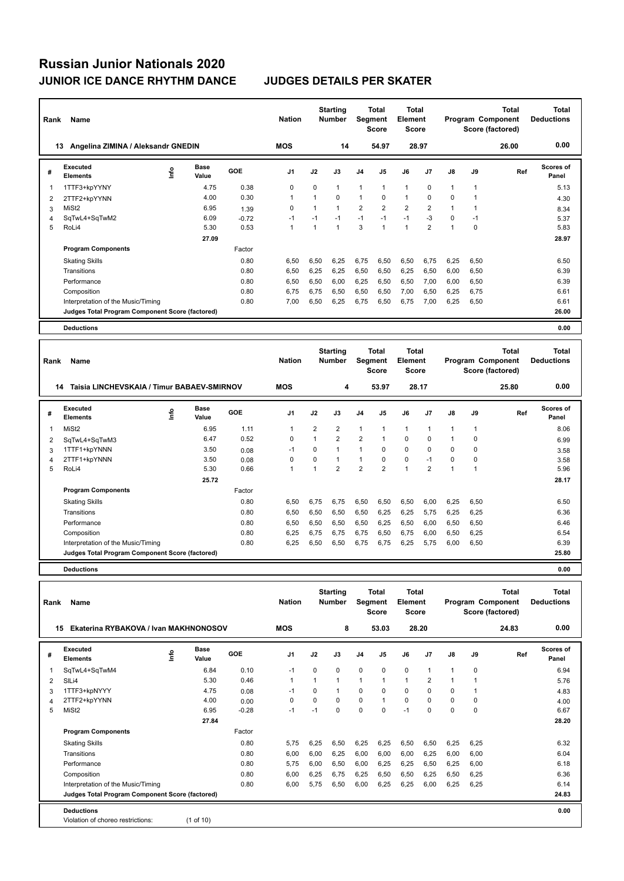| Rank           | Name                                             |    |                      |            | <b>Nation</b>  |                | <b>Starting</b><br><b>Number</b> |                | <b>Total</b><br>Segment<br><b>Score</b> | <b>Total</b><br>Element<br><b>Score</b> |                |              |              | <b>Total</b><br>Program Component<br>Score (factored) | <b>Total</b><br><b>Deductions</b> |
|----------------|--------------------------------------------------|----|----------------------|------------|----------------|----------------|----------------------------------|----------------|-----------------------------------------|-----------------------------------------|----------------|--------------|--------------|-------------------------------------------------------|-----------------------------------|
|                | Angelina ZIMINA / Aleksandr GNEDIN<br>13         |    |                      |            | <b>MOS</b>     |                | 14                               |                | 54.97                                   | 28.97                                   |                |              |              | 26.00                                                 | 0.00                              |
| #              | <b>Executed</b><br><b>Elements</b>               | ۴  | <b>Base</b><br>Value | GOE        | J <sub>1</sub> | J2             | J3                               | J4             | J5                                      | J6                                      | J7             | J8           | J9           | Ref                                                   | <b>Scores of</b><br>Panel         |
| 1              | 1TTF3+kpYYNY                                     |    | 4.75                 | 0.38       | 0              | $\mathbf 0$    | $\mathbf{1}$                     | $\mathbf{1}$   | $\mathbf{1}$                            | $\mathbf{1}$                            | $\mathbf 0$    | 1            | 1            |                                                       | 5.13                              |
| $\overline{2}$ | 2TTF2+kpYYNN                                     |    | 4.00                 | 0.30       | $\mathbf{1}$   | $\mathbf{1}$   | 0                                | 1              | $\mathbf 0$                             | $\mathbf{1}$                            | $\mathbf 0$    | $\mathbf 0$  | $\mathbf{1}$ |                                                       | 4.30                              |
| 3              | MiSt <sub>2</sub>                                |    | 6.95                 | 1.39       | $\Omega$       | $\mathbf{1}$   | $\mathbf{1}$                     | $\overline{2}$ | $\overline{2}$                          | $\overline{2}$                          | $\overline{2}$ | 1            | 1            |                                                       | 8.34                              |
| $\overline{4}$ | SqTwL4+SqTwM2                                    |    | 6.09                 | $-0.72$    | $-1$           | $-1$           | $-1$                             | $-1$           | $-1$                                    | $-1$                                    | $-3$           | $\mathbf 0$  | $-1$         |                                                       | 5.37                              |
| 5              | RoLi4                                            |    | 5.30                 | 0.53       | $\mathbf{1}$   | $\mathbf{1}$   | $\mathbf{1}$                     | 3              | $\mathbf{1}$                            | $\mathbf{1}$                            | $\overline{2}$ | $\mathbf{1}$ | $\mathbf 0$  |                                                       | 5.83                              |
|                |                                                  |    | 27.09                |            |                |                |                                  |                |                                         |                                         |                |              |              |                                                       | 28.97                             |
|                | <b>Program Components</b>                        |    |                      | Factor     |                |                |                                  |                |                                         |                                         |                |              |              |                                                       |                                   |
|                | <b>Skating Skills</b>                            |    |                      | 0.80       | 6.50           | 6,50           | 6,25                             | 6,75           | 6,50                                    | 6.50                                    | 6,75           | 6,25         | 6,50         |                                                       | 6.50                              |
|                | Transitions                                      |    |                      | 0.80       | 6,50           | 6,25           | 6,25                             | 6,50           | 6,50                                    | 6,25                                    | 6,50           | 6,00         | 6,50         |                                                       | 6.39                              |
|                | Performance                                      |    |                      | 0.80       | 6,50           | 6,50           | 6,00                             | 6,25           | 6,50                                    | 6,50                                    | 7,00           | 6,00         | 6,50         |                                                       | 6.39                              |
|                | Composition                                      |    |                      | 0.80       | 6,75           | 6,75           | 6,50                             | 6,50           | 6,50                                    | 7,00                                    | 6,50           | 6,25         | 6,75         |                                                       | 6.61                              |
|                | Interpretation of the Music/Timing               |    |                      | 0.80       | 7,00           | 6,50           | 6,25                             | 6,75           | 6,50                                    | 6,75                                    | 7,00           | 6,25         | 6,50         |                                                       | 6.61                              |
|                | Judges Total Program Component Score (factored)  |    |                      |            |                |                |                                  |                |                                         |                                         |                |              |              |                                                       | 26.00                             |
|                | <b>Deductions</b>                                |    |                      |            |                |                |                                  |                |                                         |                                         |                |              |              |                                                       | 0.00                              |
| Rank           | Name                                             |    |                      |            | <b>Nation</b>  |                | <b>Starting</b><br><b>Number</b> |                | <b>Total</b><br>Segment<br><b>Score</b> | Total<br>Element<br><b>Score</b>        |                |              |              | <b>Total</b><br>Program Component<br>Score (factored) | <b>Total</b><br><b>Deductions</b> |
|                | Taisia LINCHEVSKAIA / Timur BABAEV-SMIRNOV<br>14 |    |                      |            | MOS            |                | 4                                |                | 53.97                                   | 28.17                                   |                |              |              | 25.80                                                 | 0.00                              |
| #              | <b>Executed</b><br><b>Elements</b>               | ١m | <b>Base</b><br>Value | <b>GOE</b> | J <sub>1</sub> | J2             | J3                               | J4             | J <sub>5</sub>                          | J6                                      | J <sub>7</sub> | J8           | J9           | Ref                                                   | Scores of<br>Panel                |
| 1              | MiSt <sub>2</sub>                                |    | 6.95                 | 1.11       | $\mathbf{1}$   | $\overline{2}$ | 2                                | $\mathbf{1}$   | $\mathbf{1}$                            | $\mathbf{1}$                            | $\mathbf{1}$   | 1            | 1            |                                                       | 8.06                              |
| $\overline{c}$ | SqTwL4+SqTwM3                                    |    | 6.47                 | 0.52       | 0              | $\mathbf{1}$   | $\overline{2}$                   | $\overline{2}$ | 1                                       | 0                                       | 0              | 1            | $\mathbf 0$  |                                                       | 6.99                              |
| 3              | 1TTF1+kpYNNN                                     |    | 3.50                 | 0.08       | $-1$           | $\Omega$       | $\mathbf{1}$                     | 1              | $\Omega$                                | $\Omega$                                | $\Omega$       | $\Omega$     | $\mathbf 0$  |                                                       | 3.58                              |
| 4              | 2TTF1+kpYNNN                                     |    | 3.50                 | 0.08       | $\Omega$       | 0              | 1                                | 1              | 0                                       | $\Omega$                                | $-1$           | $\Omega$     | $\mathbf 0$  |                                                       | 3.58                              |
| 5              | RoLi4                                            |    | 5.30                 | 0.66       | $\mathbf{1}$   | $\mathbf{1}$   | $\overline{2}$                   | $\overline{2}$ | $\overline{2}$                          | $\mathbf{1}$                            | $\overline{2}$ | 1            | $\mathbf{1}$ |                                                       | 5.96                              |

| 5 | RoLi4                                           | 5.30  | 0.66   |      |      | C    | 2    |      |      |      |      |      | 5.96  |
|---|-------------------------------------------------|-------|--------|------|------|------|------|------|------|------|------|------|-------|
|   |                                                 | 25.72 |        |      |      |      |      |      |      |      |      |      | 28.17 |
|   | <b>Program Components</b>                       |       | Factor |      |      |      |      |      |      |      |      |      |       |
|   | <b>Skating Skills</b>                           |       | 0.80   | 6,50 | 6.75 | 6.75 | 6,50 | 6.50 | 6.50 | 6,00 | 6.25 | 6,50 | 6.50  |
|   | Transitions                                     |       | 0.80   | 6,50 | 6.50 | 6,50 | 6,50 | 6.25 | 6,25 | 5,75 | 6.25 | 6.25 | 6.36  |
|   | Performance                                     |       | 0.80   | 6,50 | 6,50 | 6,50 | 6,50 | 6,25 | 6,50 | 6,00 | 6,50 | 6,50 | 6.46  |
|   | Composition                                     |       | 0.80   | 6,25 | 6.75 | 6.75 | 6.75 | 6.50 | 6.75 | 6,00 | 6,50 | 6,25 | 6.54  |
|   | Interpretation of the Music/Timing              |       | 0.80   | 6,25 | 6.50 | 6.50 | 6.75 | 6.75 | 6.25 | 5,75 | 6.00 | 6,50 | 6.39  |
|   | Judges Total Program Component Score (factored) |       |        |      |      |      |      |      |      |      |      |      | 25.80 |

**Deductions 0.00**

| Rank | Name                                            |                   |       |         | <b>Nation</b>  |          | <b>Starting</b><br><b>Number</b> | <b>Segment</b> | <b>Total</b><br><b>Score</b> | <b>Total</b><br>Element<br><b>Score</b> |                |               |                | <b>Total</b><br>Program Component<br>Score (factored) | <b>Total</b><br><b>Deductions</b> |
|------|-------------------------------------------------|-------------------|-------|---------|----------------|----------|----------------------------------|----------------|------------------------------|-----------------------------------------|----------------|---------------|----------------|-------------------------------------------------------|-----------------------------------|
| 15   | Ekaterina RYBAKOVA / Ivan MAKHNONOSOV           |                   |       |         | <b>MOS</b>     |          | 8                                |                | 53.03                        | 28.20                                   |                |               |                | 24.83                                                 | 0.00                              |
| #    | Executed<br><b>Elements</b>                     | <b>Base</b><br>۴ů | Value | GOE     | J <sub>1</sub> | J2       | J3                               | J <sub>4</sub> | J5                           | J6                                      | J7             | $\mathsf{J}8$ | J9             | Ref                                                   | Scores of<br>Panel                |
| 1    | SqTwL4+SqTwM4                                   |                   | 6.84  | 0.10    | $-1$           | $\Omega$ | 0                                | $\mathbf 0$    | $\mathbf 0$                  | $\mathbf 0$                             | $\overline{1}$ |               | $\mathbf 0$    |                                                       | 6.94                              |
| 2    | SILi4                                           |                   | 5.30  | 0.46    | 1              | 1        | 1                                | $\mathbf{1}$   |                              | $\mathbf{1}$                            | $\overline{2}$ |               | $\overline{1}$ |                                                       | 5.76                              |
| 3    | 1TTF3+kpNYYY                                    |                   | 4.75  | 0.08    | $-1$           | $\Omega$ | 1                                | 0              | $\Omega$                     | 0                                       | 0              | $\Omega$      | 1              |                                                       | 4.83                              |
| 4    | 2TTF2+kpYYNN                                    |                   | 4.00  | 0.00    | 0              | $\Omega$ | 0                                | $\mathbf 0$    | 1                            | 0                                       | $\Omega$       | $\Omega$      | $\Omega$       |                                                       | 4.00                              |
| 5    | MiSt <sub>2</sub>                               |                   | 6.95  | $-0.28$ | $-1$           | $-1$     | 0                                | $\Omega$       | $\Omega$                     | $-1$                                    | $\Omega$       | $\Omega$      | $\mathbf 0$    |                                                       | 6.67                              |
|      |                                                 |                   | 27.84 |         |                |          |                                  |                |                              |                                         |                |               |                |                                                       | 28.20                             |
|      | <b>Program Components</b>                       |                   |       | Factor  |                |          |                                  |                |                              |                                         |                |               |                |                                                       |                                   |
|      | <b>Skating Skills</b>                           |                   |       | 0.80    | 5.75           | 6,25     | 6,50                             | 6,25           | 6,25                         | 6,50                                    | 6,50           | 6,25          | 6,25           |                                                       | 6.32                              |
|      | Transitions                                     |                   |       | 0.80    | 6,00           | 6,00     | 6.25                             | 6,00           | 6.00                         | 6,00                                    | 6,25           | 6.00          | 6,00           |                                                       | 6.04                              |
|      | Performance                                     |                   |       | 0.80    | 5.75           | 6.00     | 6.50                             | 6,00           | 6.25                         | 6,25                                    | 6,50           | 6.25          | 6.00           |                                                       | 6.18                              |
|      | Composition                                     |                   |       | 0.80    | 6,00           | 6,25     | 6.75                             | 6,25           | 6,50                         | 6,50                                    | 6,25           | 6,50          | 6,25           |                                                       | 6.36                              |
|      | Interpretation of the Music/Timing              |                   |       | 0.80    | 6.00           | 5,75     | 6.50                             | 6,00           | 6,25                         | 6,25                                    | 6.00           | 6.25          | 6,25           |                                                       | 6.14                              |
|      | Judges Total Program Component Score (factored) |                   |       |         |                |          |                                  |                |                              |                                         |                |               |                |                                                       | 24.83                             |
|      | <b>Deductions</b>                               |                   |       |         |                |          |                                  |                |                              |                                         |                |               |                |                                                       | 0.00                              |
|      | Violation of choreo restrictions:               | (1 of 10)         |       |         |                |          |                                  |                |                              |                                         |                |               |                |                                                       |                                   |